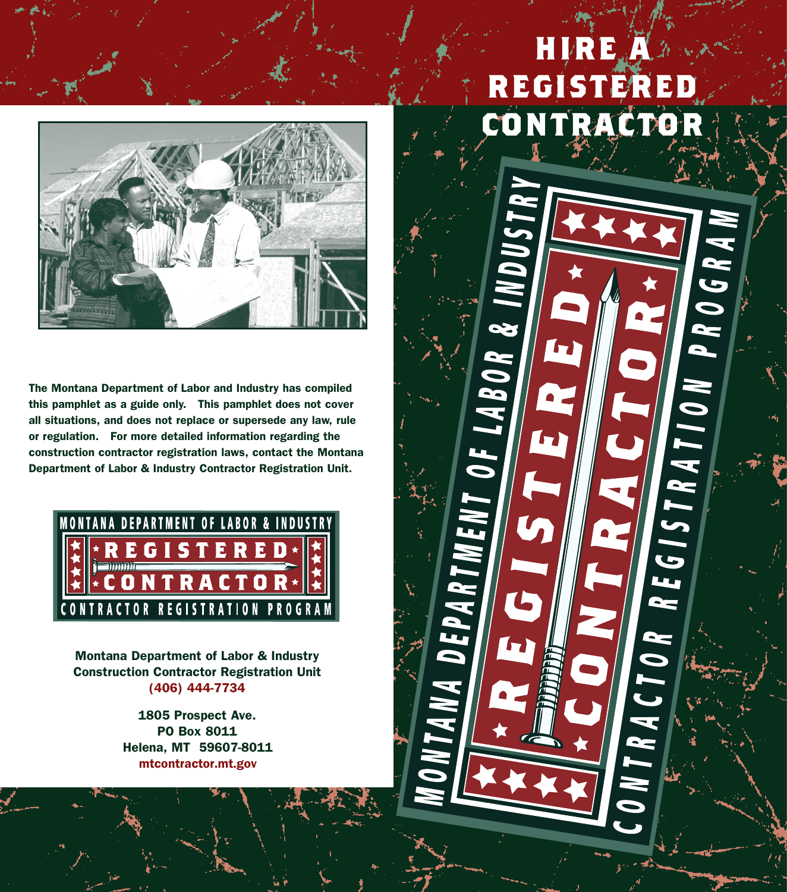

**The Montana Department of Labor and Industry has compiled this pamphlet as a guide only. This pamphlet does not cover all situations, and does not replace or supersede any law, rule or regulation. For more detailed information regarding the construction contractor registration laws, contact the Montana Department of Labor & Industry Contractor Registration Unit.**



**Montana Department of Labor & Industry Construction Contractor Registration Unit (406) 444-7734**

> **1805 Prospect Ave. PO Box 8011 Helena, MT 59607-8011** mtcontractor.mt.gov

## **HIRE A REGISTERED CONTRACTE**

1 OF LABOR

ANA DEPARTML

REGISTRATION PROGRAM

CTOR

TRA.